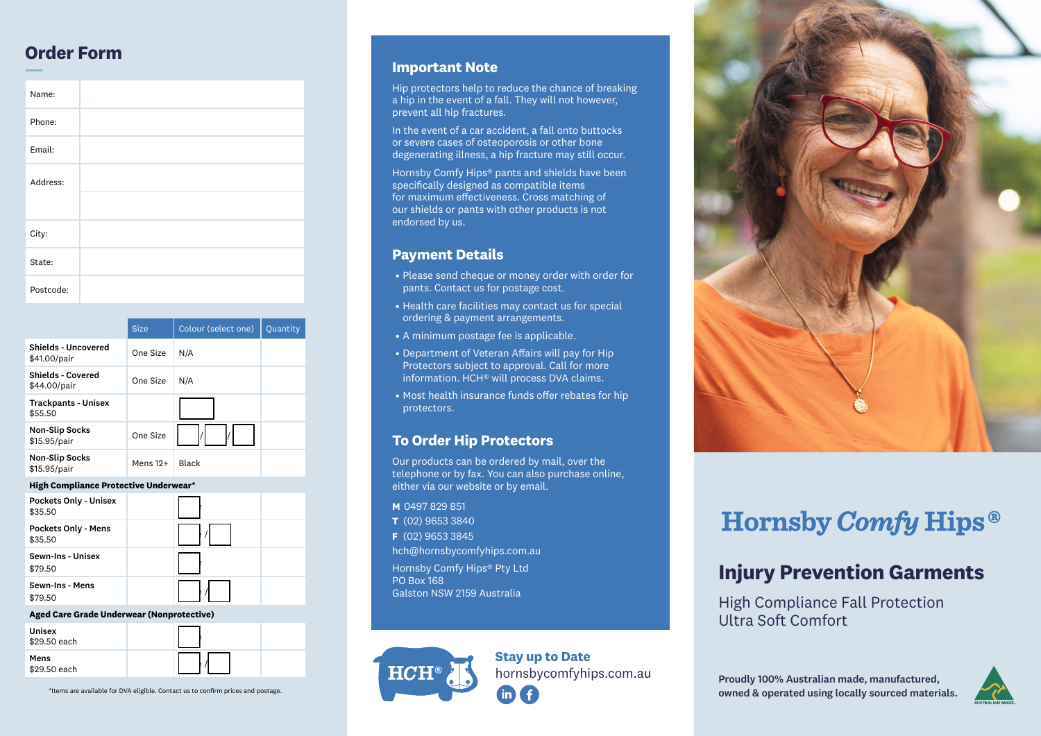